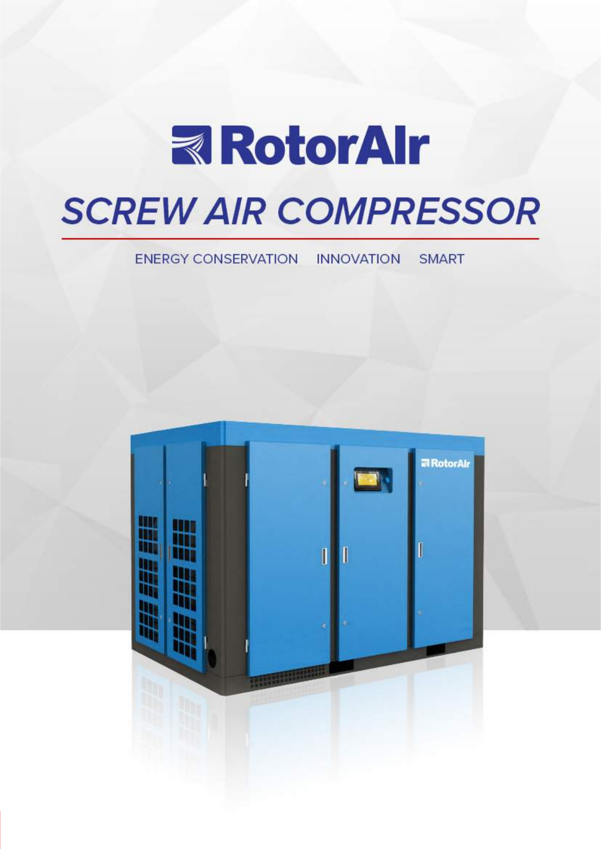

# **SCREW AIR COMPRESSOR**

#### ENERGY CONSERVATION INNOVATION **SMART**

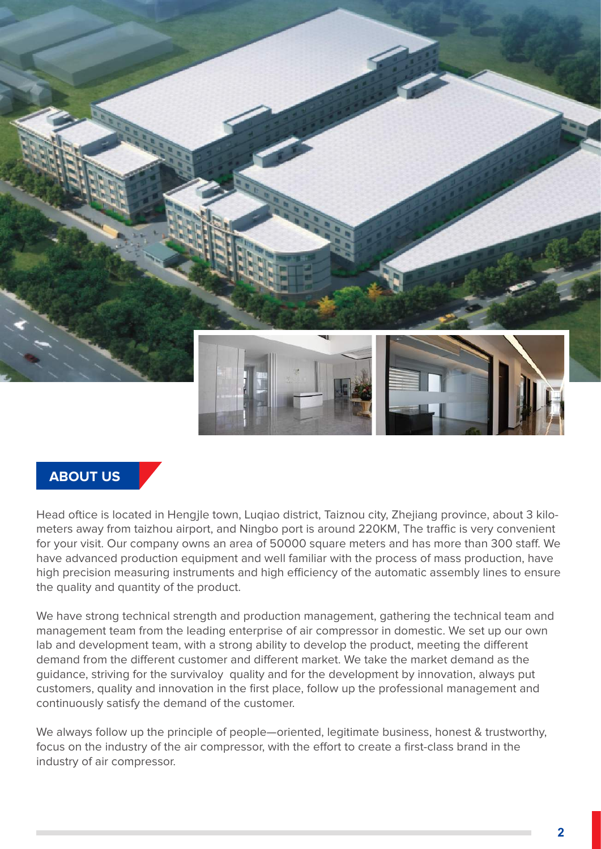

#### **ABOUT US**

Head oftice is located in Hengjle town, Luqiao district, Taiznou city, Zhejiang province, about 3 kilometers away from taizhou airport, and Ningbo port is around 220KM, The traffic is very convenient for your visit. Our company owns an area of 50000 square meters and has more than 300 staff. We have advanced production equipment and well familiar with the process of mass production, have high precision measuring instruments and high efficiency of the automatic assembly lines to ensure the quality and quantity of the product.

We have strong technical strength and production management, gathering the technical team and management team from the leading enterprise of air compressor in domestic. We set up our own lab and development team, with a strong ability to develop the product, meeting the different demand from the different customer and different market. We take the market demand as the guidance, striving for the survivaloy quality and for the development by innovation, always put customers, quality and innovation in the first place, follow up the professional management and continuously satisfy the demand of the customer.

We alwavs follow up the principle of people—oriented, legitimate business, honest & trustworthy, focus on the industry of the air compressor, with the effort to create a first-class brand in the industry of air compressor.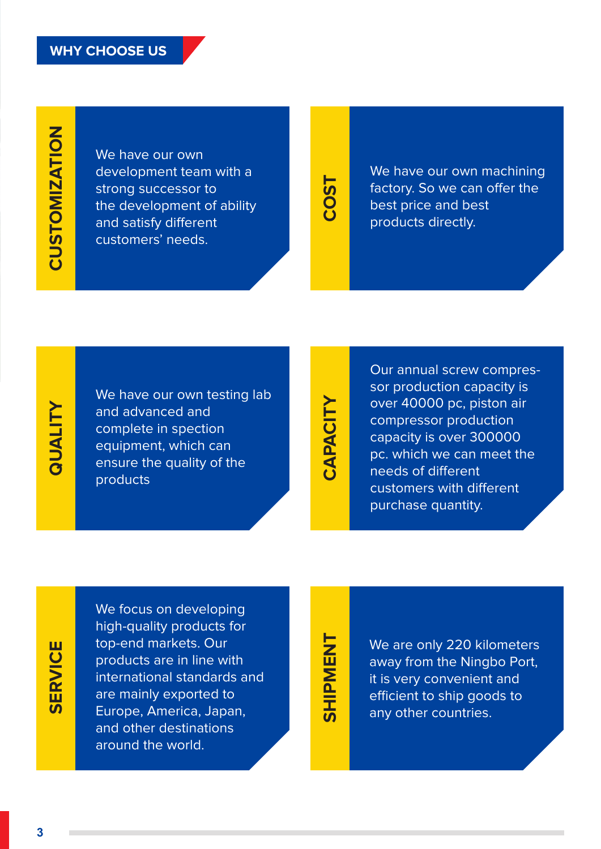We have our own development team with a strong successor to the development of ability and satisfy different customers' needs.

# **COST**

We have our own machining factory. So we can offer the best price and best products directly.

## **QUALITY QUALITY**

We have our own testing lab and advanced and complete in spection equipment, which can ensure the quality of the products

# CAPACITY **CAPACITY**

Our annual screw compressor production capacity is over 40000 pc, piston air compressor production capacity is over 300000 pc. which we can meet the needs of different customers with different purchase quantity.

# **SERVICE SERVICE**

We focus on developing high-quality products for top-end markets. Our products are in line with international standards and are mainly exported to Europe, America, Japan, and other destinations around the world.

# **SHIPMENT SHIPMENT**

We are only 220 kilometers away from the Ningbo Port, it is very convenient and efficient to ship goods to any other countries.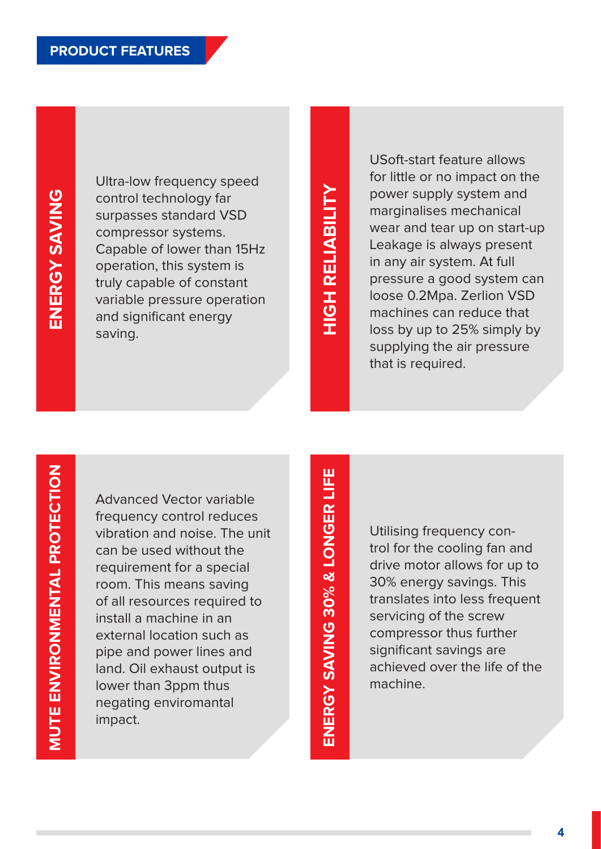Ultra-low frequency speed control technology far surpasses standard VSD compressor systems. Capable of lower than 15Hz operation, this system is truly capable of constant variable pressure operation and significant energy saving.

# **HIGH RELIABILITY HIGH RELIABILITY**

USoft-start feature allows for little or no impact on the power supply system and marginalises mechanical wear and tear up on start-up Leakage is always present in any air system. At full pressure a good system can loose 0.2Mpa. Zerlion VSD machines can reduce that loss by up to 25% simply by supplying the air pressure that is required.

Advanced Vector variable frequency control reduces vibration and noise. The unit can be used without the requirement for a special room. This means saving of all resources required to install a machine in an external location such as pipe and power lines and land. Oil exhaust output is lower than 3ppm thus negating enviromantal impact.

ENERGY SAVING 30% & LONGER LIFE **ENERGY SAVING 30% & LONGER LIFE**

Utilising frequency control for the cooling fan and drive motor allows for up to 30% energy savings. This translates into less frequent servicing of the screw compressor thus further significant savings are achieved over the life of the machine.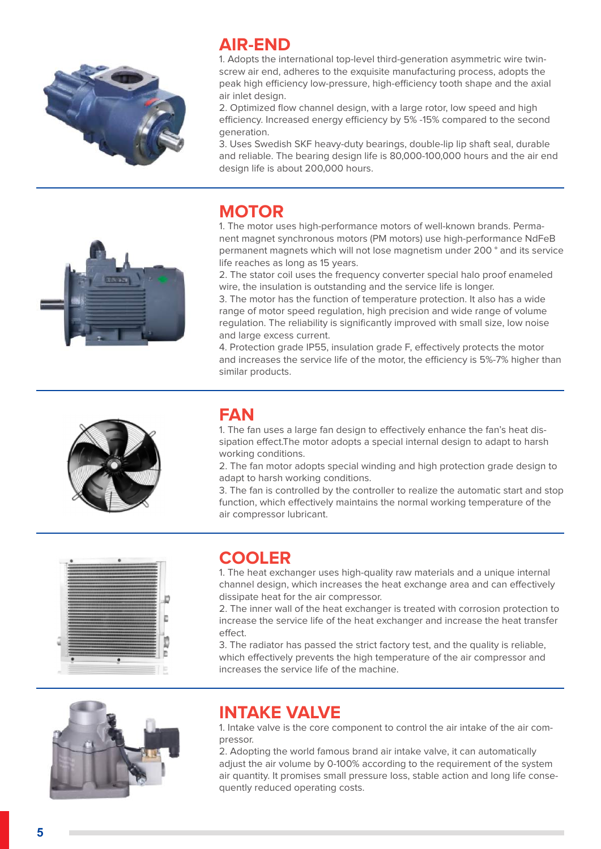

#### **AIR-END**

1. Adopts the international top-level third-generation asymmetric wire twinscrew air end, adheres to the exquisite manufacturing process, adopts the peak high efficiency low-pressure, high-efficiency tooth shape and the axial air inlet design.

2. Optimized flow channel design, with a large rotor, low speed and high efficiency. Increased energy efficiency by 5% -15% compared to the second generation.

3. Uses Swedish SKF heavy-duty bearings, double-lip lip shaft seal, durable and reliable. The bearing design life is 80,000-100,000 hours and the air end design life is about 200,000 hours.

#### **MOTOR**

1. The motor uses high-performance motors of well-known brands. Permanent magnet synchronous motors (PM motors) use high-performance NdFeB permanent magnets which will not lose magnetism under 200 ° and its service life reaches as long as 15 years.

2. The stator coil uses the frequency converter special halo proof enameled wire, the insulation is outstanding and the service life is longer.

3. The motor has the function of temperature protection. It also has a wide range of motor speed regulation, high precision and wide range of volume regulation. The reliability is significantly improved with small size, low noise and large excess current.

4. Protection grade IP55, insulation grade F, effectively protects the motor and increases the service life of the motor, the efficiency is 5%-7% higher than similar products.



## **FAN**

1. The fan uses a large fan design to effectively enhance the fan's heat dissipation effect.The motor adopts a special internal design to adapt to harsh working conditions.

2. The fan motor adopts special winding and high protection grade design to adapt to harsh working conditions.

3. The fan is controlled by the controller to realize the automatic start and stop function, which effectively maintains the normal working temperature of the air compressor lubricant.



#### **COOLER**

1. The heat exchanger uses high-quality raw materials and a unique internal channel design, which increases the heat exchange area and can effectively dissipate heat for the air compressor.

2. The inner wall of the heat exchanger is treated with corrosion protection to increase the service life of the heat exchanger and increase the heat transfer effect.

3. The radiator has passed the strict factory test, and the quality is reliable, which effectively prevents the high temperature of the air compressor and increases the service life of the machine.



#### **INTAKE VALVE**

1. Intake valve is the core component to control the air intake of the air compressor.

2. Adopting the world famous brand air intake valve, it can automatically adjust the air volume by 0-100% according to the requirement of the system air quantity. It promises small pressure loss, stable action and long life consequently reduced operating costs.

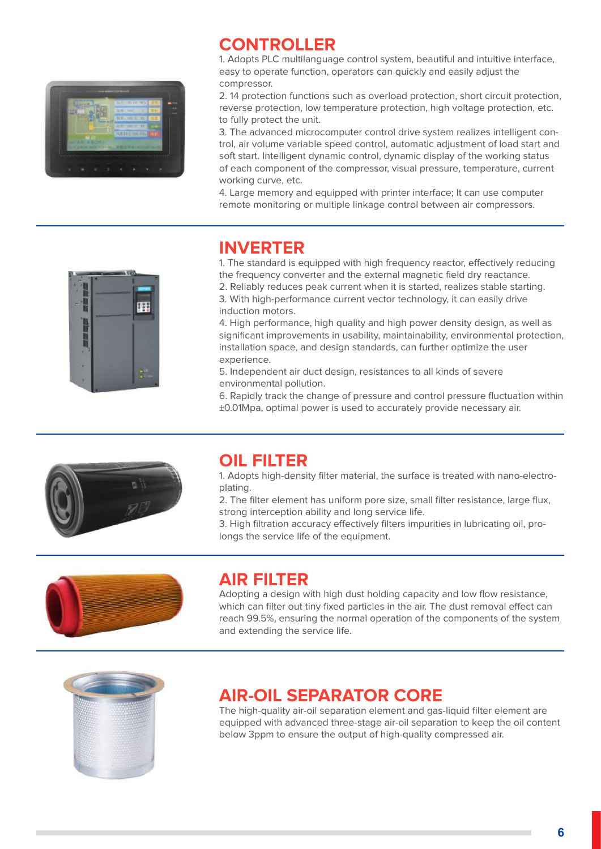

#### **CONTROLLER**

1. Adopts PLC multilanguage control system, beautiful and intuitive interface, easy to operate function, operators can quickly and easily adjust the compressor.

2. 14 protection functions such as overload protection, short circuit protection, reverse protection, low temperature protection, high voltage protection, etc. to fully protect the unit.

3. The advanced microcomputer control drive system realizes intelligent control, air volume variable speed control, automatic adjustment of load start and soft start. Intelligent dynamic control, dynamic display of the working status of each component of the compressor, visual pressure, temperature, current working curve, etc.

4. Large memory and equipped with printer interface; It can use computer remote monitoring or multiple linkage control between air compressors.



#### **INVERTER**

1. The standard is equipped with high frequency reactor, effectively reducing the frequency converter and the external magnetic field dry reactance.

2. Reliably reduces peak current when it is started, realizes stable starting. 3. With high-performance current vector technology, it can easily drive induction motors.

4. High performance, high quality and high power density design, as well as significant improvements in usability, maintainability, environmental protection, installation space, and design standards, can further optimize the user experience.

5. Independent air duct design, resistances to all kinds of severe environmental pollution.

6. Rapidly track the change of pressure and control pressure fluctuation within ±0.01Mpa, optimal power is used to accurately provide necessary air.



#### **OIL FILTER**

1. Adopts high-density filter material, the surface is treated with nano-electroplating.

2. The filter element has uniform pore size, small filter resistance, large flux, strong interception ability and long service life.

3. High filtration accuracy effectively filters impurities in lubricating oil, prolongs the service life of the equipment.



#### **AIR FILTER**

Adopting a design with high dust holding capacity and low flow resistance, which can filter out tiny fixed particles in the air. The dust removal effect can reach 99.5%, ensuring the normal operation of the components of the system and extending the service life.



#### **AIR-OIL SEPARATOR CORE**

The high-quality air-oil separation element and gas-liquid filter element are equipped with advanced three-stage air-oil separation to keep the oil content below 3ppm to ensure the output of high-quality compressed air.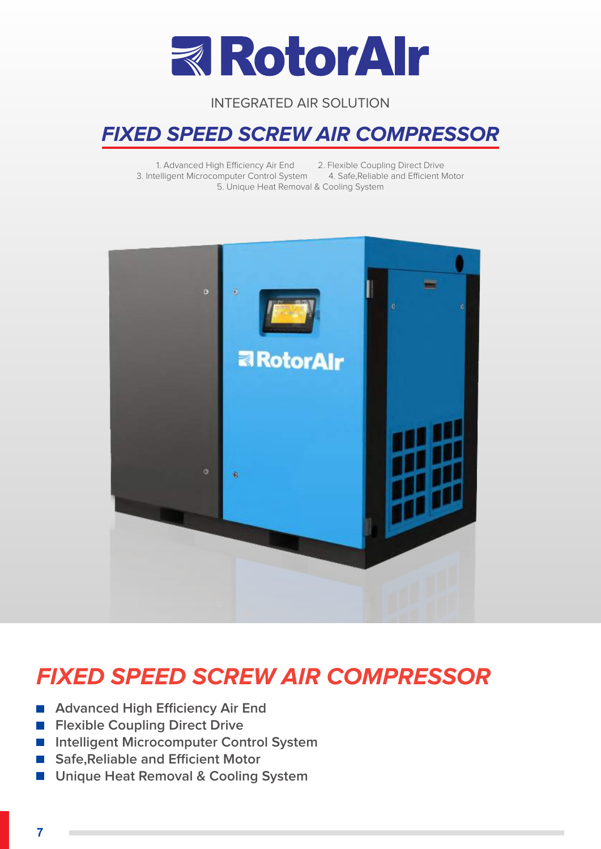

## **FIXED SPEED SCREW AIR COMPRESSOR**

1. Advanced High Efficiency Air End 2. Flexible Coupling Direct Drive 3. Intelligent Microcomputer Control System 4. Safe,Reliable and Efficient Motor 5. Unique Heat Removal & Cooling System



## **FIXED SPEED SCREW AIR COMPRESSOR**

- Advanced High Efficiency Air End
- **Flexible Coupling Direct Drive**
- **Intelligent Microcomputer Control System**
- Safe, Reliable and Efficient Motor
- **Unique Heat Removal & Cooling System**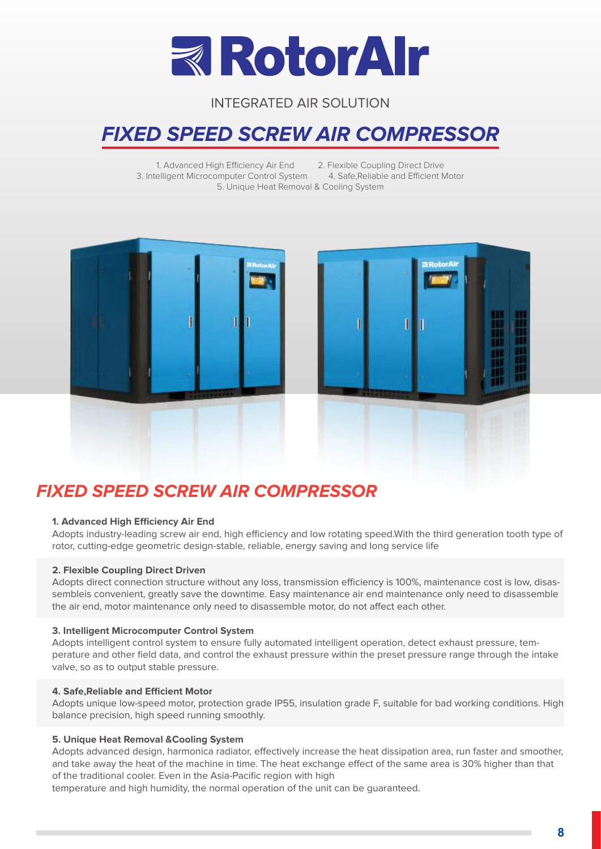

## **FIXED SPEED SCREW AIR COMPRESSOR**

1. Advanced High Efficiency Air End 2. Flexible Coupling Direct Drive 3. Intelligent Microcomputer Control System 4. Safe,Reliable and Efficient Motor 5. Unique Heat Removal & Cooling System





#### **FIXED SPEED SCREW AIR COMPRESSOR**

#### **1. Advanced High Efficiency Air End**

Adopts industry-leading screw air end, high efficiency and low rotating speed.With the third generation tooth type of rotor, cutting-edge geometric design-stable, reliable, energy saving and long service life

#### **2. Flexible Coupling Direct Driven**

Adopts direct connection structure without any loss, transmission efficiency is 100%, maintenance cost is low, disassembleis convenient, greatly save the downtime. Easy maintenance air end maintenance only need to disassemble the air end, motor maintenance only need to disassemble motor, do not affect each other.

#### **3. Intelligent Microcomputer Control System**

Adopts intelligent control system to ensure fully automated intelligent operation, detect exhaust pressure, temperature and other field data, and control the exhaust pressure within the preset pressure range through the intake valve, so as to output stable pressure.

#### **4. Safe,Reliable and Efficient Motor**

Adopts unique low-speed motor, protection grade IP55, insulation grade F, suitable for bad working conditions. High balance precision, high speed running smoothly.

#### **5. Unique Heat Removal &Cooling System**

Adopts advanced design, harmonica radiator, effectively increase the heat dissipation area, run faster and smoother, and take away the heat of the machine in time. The heat exchange effect of the same area is 30% higher than that of the traditional cooler. Even in the Asia-Pacific region with high

temperature and high humidity, the normal operation of the unit can be guaranteed.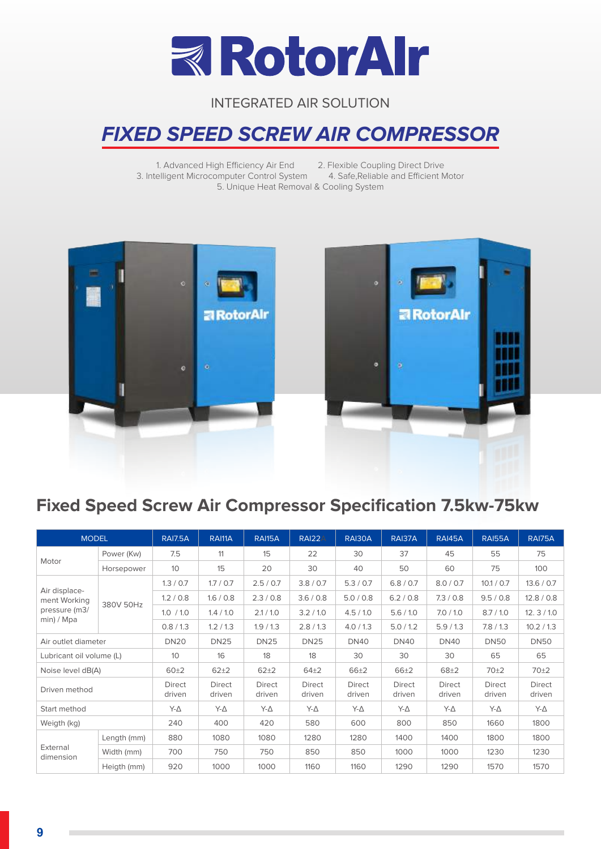

## **FIXED SPEED SCREW AIR COMPRESSOR**

1. Advanced High Efficiency Air End 2. Flexible Coupling Direct Drive<br>
ielligent Microcomputer Control System 4. Safe, Reliable and Efficient Motor 3. Intelligent Microcomputer Control System 5. Unique Heat Removal & Cooling System



### **Fixed Speed Screw Air Compressor Specification 7.5kw-75kw**

| <b>MODEL</b>                  |             | <b>RAI7.5A</b>          | RAI11A                  | <b>RAI15A</b>           | RAI22A           | RAI30A                  | RAI37A           | <b>RAI45A</b>           | <b>RAI55A</b>           | RAI75A                  |
|-------------------------------|-------------|-------------------------|-------------------------|-------------------------|------------------|-------------------------|------------------|-------------------------|-------------------------|-------------------------|
|                               | Power (Kw)  | 7.5                     | 11                      | 15                      | 22               | 30                      | 37               | 45                      | 55                      | 75                      |
| Motor                         | Horsepower  | 10 <sup>°</sup>         | 15                      | 20                      | 30               | 40                      | 50               | 60                      | 75                      | 100                     |
|                               |             | 1.3 / 0.7               | 1.7 / 0.7               | 2.5 / 0.7               | 3.8 / 0.7        | 5.3 / 0.7               | 6.8 / 0.7        | 8.0 / 0.7               | 10.1 / 0.7              | 13.6 / 0.7              |
| Air displace-<br>ment Working |             | 1.2 / 0.8               | 1.6 / 0.8               | 2.3/0.8                 | 3.6 / 0.8        | 5.0 / 0.8               | 6.2 / 0.8        | 7.3/0.8                 | 9.5 / 0.8               | 12.8 / 0.8              |
| pressure (m3/                 | 380V 50Hz   | 1.0 / 1.0               | 1.4 / 1.0               | 2.1 / 1.0               | 3.2 / 1.0        | 4.5/1.0                 | 5.6 / 1.0        | 7.0 / 1.0               | 8.7/1.0                 | 12.3/10                 |
| min) / Mpa                    |             | 0.8/1.3                 | 1.2/1.3                 | 1.9/1.3                 | 2.8/1.3          | 4.0 / 1.3               | 5.0 / 1.2        | 5.9/1.3                 | 7.8/1.3                 | 10.2 / 1.3              |
| Air outlet diameter           |             | <b>DN20</b>             | <b>DN25</b>             | <b>DN25</b>             | <b>DN25</b>      | <b>DN40</b>             | <b>DN40</b>      | <b>DN40</b>             | <b>DN50</b>             | <b>DN50</b>             |
| Lubricant oil volume (L)      |             | 10 <sup>°</sup>         | 16                      | 18                      | 18               | 30                      | 30               | 30                      | 65                      | 65                      |
| Noise level dB(A)             |             | 60±2                    | $62 + 2$                | $62 + 2$                | $64\pm2$         | $66 + 2$                | 66±2             | $68 + 2$                | 70±2                    | 70 <sup>±2</sup>        |
| Driven method                 |             | <b>Direct</b><br>driven | <b>Direct</b><br>driven | <b>Direct</b><br>driven | Direct<br>driven | <b>Direct</b><br>driven | Direct<br>driven | <b>Direct</b><br>driven | <b>Direct</b><br>driven | <b>Direct</b><br>driven |
| Start method                  |             | Y-A                     | $Y - \Delta$            | $Y - \Delta$            | $Y-\Delta$       | Y-Δ                     | Y-Δ              | $Y - \Delta$            | $Y - \Delta$            | Y-Δ                     |
| Weigth (kg)                   |             | 240                     | 400                     | 420                     | 580              | 600                     | 800              | 850                     | 1660                    | 1800                    |
| External<br>dimension         | Length (mm) | 880                     | 1080                    | 1080                    | 1280             | 1280                    | 1400             | 1400                    | 1800                    | 1800                    |
|                               | Width (mm)  | 700<br>750              |                         | 750                     | 850              | 850                     | 1000             | 1000                    | 1230                    | 1230                    |
|                               | Heigth (mm) | 920                     | 1000                    | 1000                    | 1160             | 1160                    | 1290             | 1290                    | 1570                    | 1570                    |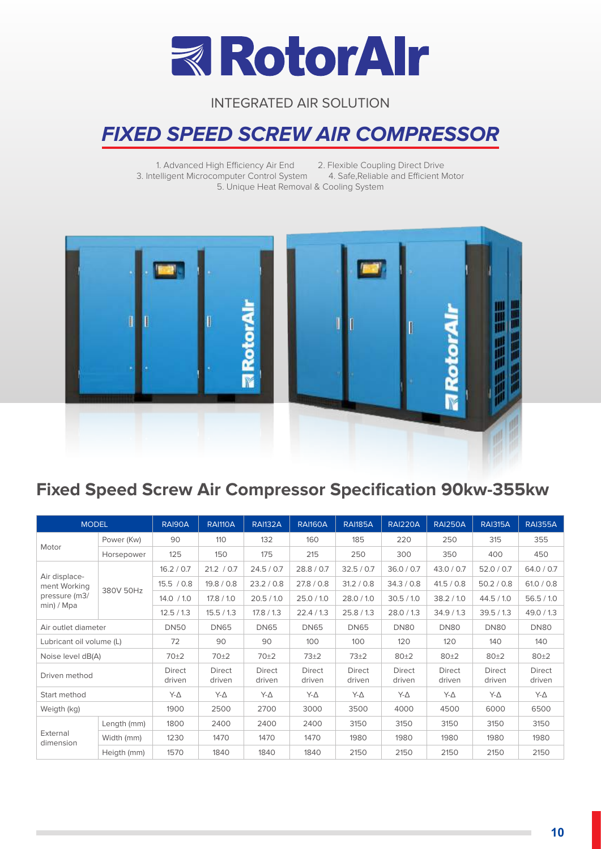

## **FIXED SPEED SCREW AIR COMPRESSOR**

1. Advanced High Efficiency Air End 2. Flexible Coupling Direct Drive<br>elligent Microcomputer Control System 4. Safe, Reliable and Efficient Motor 3. Intelligent Microcomputer Control System 5. Unique Heat Removal & Cooling System



### **Fixed Speed Screw Air Compressor Specification 90kw-355kw**

| <b>MODEL</b>                  |             | RAI90A           | <b>RAI110A</b>          | <b>RAI132A</b>          | <b>RAI160A</b>   | <b>RAI185A</b>          | <b>RAI220A</b>          | <b>RAI250A</b>          | <b>RAI315A</b>          | <b>RAI355A</b>          |
|-------------------------------|-------------|------------------|-------------------------|-------------------------|------------------|-------------------------|-------------------------|-------------------------|-------------------------|-------------------------|
|                               | Power (Kw)  | 90               | 110                     | 132                     | 160              | 185                     | 220                     | 250                     | 315                     | 355                     |
| Motor                         | Horsepower  | 125              | 150                     | 175                     | 215              | 250                     | 300                     | 350                     | 400                     | 450                     |
|                               |             | 16.2 / 0.7       | 21.2 / 0.7              | 24.5 / 0.7              | 28.8 / 0.7       | 32.5 / 0.7              | 36.0 / 0.7              | 43.0 / 0.7              | 52.0 / 0.7              | 64.0 / 0.7              |
| Air displace-<br>ment Working |             | 15.5 / 0.8       | 19.8 / 0.8              | 23.2 / 0.8              | 27.8 / 0.8       | 31.2 / 0.8              | 34.3 / 0.8              | 41.5 / 0.8              | 50.2 / 0.8              | 61.0 / 0.8              |
| pressure (m3/                 | 380V 50Hz   | 14.0 / 1.0       | 17.8 / 1.0              | 20.5 / 1.0              | 25.0 / 1.0       | 28.0 / 1.0              | 30.5 / 1.0              | 38.2 / 1.0              | 44.5 / 1.0              | 56.5/10                 |
| min) / Mpa                    |             | 12.5/13          | 15.5/1.3                | 17.8 / 1.3              | 22.4/1.3         | 25.8/1.3                | 28.0 / 1.3              | 34.9/1.3                | 39.5/1.3                | 49.0 / 1.3              |
| Air outlet diameter           |             | <b>DN50</b>      | <b>DN65</b>             | <b>DN65</b>             | <b>DN65</b>      | <b>DN65</b>             | <b>DN80</b>             | DN80                    | <b>DN80</b>             | <b>DN80</b>             |
| Lubricant oil volume (L)      |             | 72               | 90                      | 90                      | 100              | 100                     | 120                     | 120                     | 140                     | 140                     |
| Noise level dB(A)             |             | 70 <sup>±2</sup> | 70±2                    | 70±2                    | $73\pm2$         | 73±2                    | 80±2<br>80±2            |                         | 80±2                    | 80±2                    |
| Driven method                 |             | Direct<br>driven | <b>Direct</b><br>driven | <b>Direct</b><br>driven | Direct<br>driven | <b>Direct</b><br>driven | <b>Direct</b><br>driven | <b>Direct</b><br>driven | <b>Direct</b><br>driven | <b>Direct</b><br>driven |
| Start method                  |             | Y-Δ              | Y-Δ                     | Y-Δ                     | Y-Δ              | Y-Δ                     | Y-Δ                     | Y-Δ                     | Y-Δ                     | $Y-\Delta$              |
| Weigth (kg)                   |             | 1900             | 2500                    | 2700                    | 3000             | 3500                    | 4000                    | 4500                    | 6000                    | 6500                    |
|                               | Length (mm) | 1800             | 2400                    | 2400                    | 2400             | 3150                    | 3150                    | 3150                    | 3150                    | 3150                    |
| External<br>dimension         | Width (mm)  | 1230             | 1470                    | 1470                    | 1470             | 1980                    | 1980                    | 1980                    | 1980                    | 1980                    |
|                               | Heigth (mm) | 1570             | 1840                    | 1840                    | 1840             | 2150                    | 2150                    | 2150                    | 2150                    | 2150                    |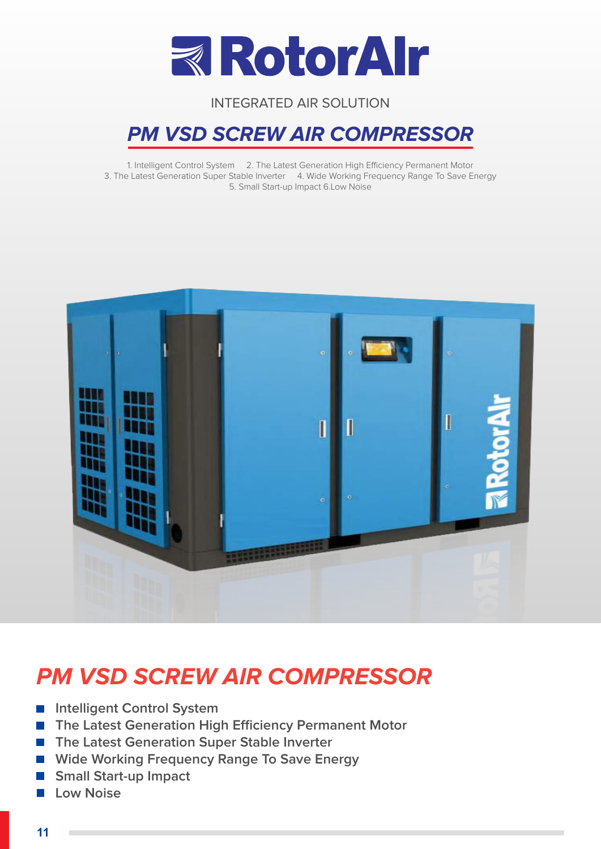

## **PM VSD SCREW AIR COMPRESSOR**

1. Intelligent Control System 2. The Latest Generation High Efficiency Permanent Motor 3. The Latest Generation Super Stable Inverter 4. Wide Working Frequency Range To Save Energy 5. Small Start-up Impact 6.Low Noise



## **PM VSD SCREW AIR COMPRESSOR**

- **Intelligent Control System**
- **The Latest Generation High Efficiency Permanent Motor**
- The Latest Generation Super Stable Inverter
- Wide Working Frequency Range To Save Energy
- **Small Start-up Impact**
- **Low Noise**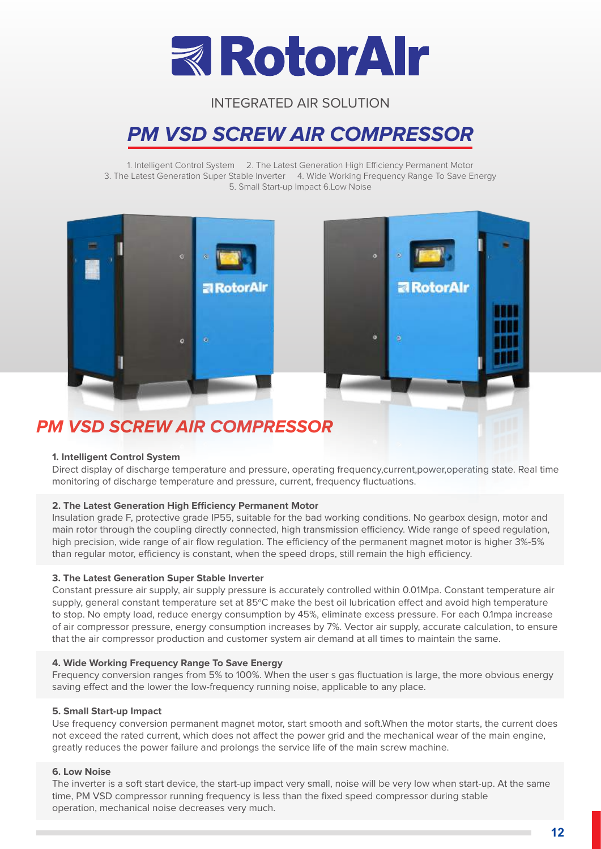

## **PM VSD SCREW AIR COMPRESSOR**

1. Intelligent Control System 2. The Latest Generation High Efficiency Permanent Motor 3. The Latest Generation Super Stable Inverter 4. Wide Working Frequency Range To Save Energy 5. Small Start-up Impact 6.Low Noise





## **PM VSD SCREW AIR COMPRESSOR**

#### **1. Intelligent Control System**

Direct display of discharge temperature and pressure, operating frequency,current,power,operating state. Real time monitoring of discharge temperature and pressure, current, frequency fluctuations.

#### **2. The Latest Generation High Efficiency Permanent Motor**

Insulation grade F, protective grade IP55, suitable for the bad working conditions. No gearbox design, motor and main rotor through the coupling directly connected, high transmission efficiency. Wide range of speed regulation, high precision, wide range of air flow regulation. The efficiency of the permanent magnet motor is higher 3%-5% than regular motor, efficiency is constant, when the speed drops, still remain the high efficiency.

#### **3. The Latest Generation Super Stable Inverter**

Constant pressure air supply, air supply pressure is accurately controlled within 0.01Mpa. Constant temperature air supply, general constant temperature set at 85°C make the best oil lubrication effect and avoid high temperature to stop. No empty load, reduce energy consumption by 45%, eliminate excess pressure. For each 0.1mpa increase of air compressor pressure, energy consumption increases by 7%. Vector air supply, accurate calculation, to ensure that the air compressor production and customer system air demand at all times to maintain the same.

#### **4. Wide Working Frequency Range To Save Energy**

Frequency conversion ranges from 5% to 100%. When the user s gas fluctuation is large, the more obvious energy saving effect and the lower the low-frequency running noise, applicable to any place.

#### **5. Small Start-up Impact**

Use frequency conversion permanent magnet motor, start smooth and soft.When the motor starts, the current does not exceed the rated current, which does not affect the power grid and the mechanical wear of the main engine, greatly reduces the power failure and prolongs the service life of the main screw machine.

#### **6. Low Noise**

The inverter is a soft start device, the start-up impact very small, noise will be very low when start-up. At the same time, PM VSD compressor running frequency is less than the fixed speed compressor during stable operation, mechanical noise decreases very much.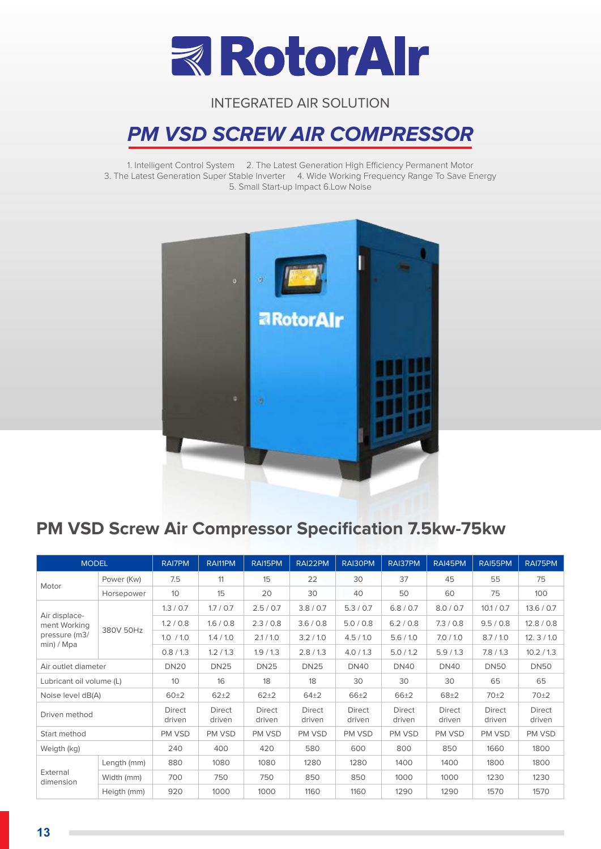

## **PM VSD SCREW AIR COMPRESSOR**

1. Intelligent Control System 2. The Latest Generation High Efficiency Permanent Motor 3. The Latest Generation Super Stable Inverter 4. Wide Working Frequency Range To Save Energy 5. Small Start-up Impact 6.Low Noise



## **PM VSD Screw Air Compressor Specification 7.5kw-75kw**

|                               | <b>MODEL</b>        |                         | RAI11PM                 | RAI15PM                 | RAI22PM                 | RAI30PM                 | RAI37PM                 | RAI45PM                 | RAI55PM          | RAI75PM                 |
|-------------------------------|---------------------|-------------------------|-------------------------|-------------------------|-------------------------|-------------------------|-------------------------|-------------------------|------------------|-------------------------|
|                               | Power (Kw)          | 7.5                     | 11                      | 15                      | 22                      | 30                      | 37                      | 45                      | 55               | 75                      |
| Motor                         | Horsepower          | 10 <sup>°</sup>         | 15                      | 20                      | 30                      | 40                      | 50                      | 60                      | 75               | 100                     |
|                               |                     | 1.3 / 0.7               | 1.7 / 0.7               | 2.5 / 0.7               | 3.8 / 0.7               | 5.3 / 0.7               | 6.8 / 0.7               | 8.0 / 0.7               | 10.1 / 0.7       | 13.6 / 0.7              |
| Air displace-<br>ment Working | 380V 50Hz           | 1.2 / 0.8               | 1.6 / 0.8               | 2.3/0.8                 | 3.6 / 0.8               | 5.0 / 0.8               | 6.2 / 0.8               | 7.3 / 0.8               | 9.5 / 0.8        | 12.8 / 0.8              |
| pressure (m3/                 |                     | 1.0 / 1.0               | 1.4 / 1.0               | 2.1 / 1.0               | 3.2 / 1.0               | 4.5/1.0                 | 5.6/1.0                 | 7.0 / 1.0               | 8.7/1.0          | 12.3/10                 |
| min) / Mpa                    |                     | 0.8/1.3                 | 1.2 / 1.3               | 1.9/1.3                 | 2.8/1.3                 | 4.0 / 1.3               | 5.0 / 1.2               | 5.9/1.3                 | 7.8/1.3          | 10.2 / 1.3              |
|                               | Air outlet diameter |                         | <b>DN25</b>             | <b>DN25</b>             | <b>DN25</b>             | <b>DN40</b>             | <b>DN40</b>             | <b>DN40</b>             | <b>DN50</b>      | <b>DN50</b>             |
| Lubricant oil volume (L)      |                     | 10 <sup>°</sup>         | 16                      | 18                      | 18                      | 30                      | 30                      | 30                      | 65               | 65                      |
| Noise level dB(A)             |                     | 60±2                    | $62 + 2$                | $62 + 2$                | $64\pm2$                | $66 + 2$                | $66 + 2$                | $68 + 2$                | 70±2             | 70±2                    |
| Driven method                 |                     | <b>Direct</b><br>driven | <b>Direct</b><br>driven | <b>Direct</b><br>driven | <b>Direct</b><br>driven | <b>Direct</b><br>driven | <b>Direct</b><br>driven | <b>Direct</b><br>driven | Direct<br>driven | <b>Direct</b><br>driven |
| Start method                  |                     | PM VSD                  | PM VSD                  | PM VSD                  | PM VSD                  | PM VSD                  | PM VSD                  | PM VSD                  | PM VSD           | PM VSD                  |
| Weigth (kg)                   |                     | 240                     | 400                     | 420                     | 580                     | 600                     | 800                     | 850                     | 1660             | 1800                    |
| External<br>dimension         | Length (mm)         | 880                     | 1080                    | 1080                    | 1280                    | 1280                    | 1400                    | 1400                    | 1800             | 1800                    |
|                               | Width (mm)          | 700                     | 750                     | 750                     | 850                     | 850                     | 1000                    | 1000                    | 1230             | 1230                    |
|                               | Heigth (mm)         | 920                     | 1000                    | 1000                    | 1160                    | 1160                    | 1290                    | 1290                    | 1570             | 1570                    |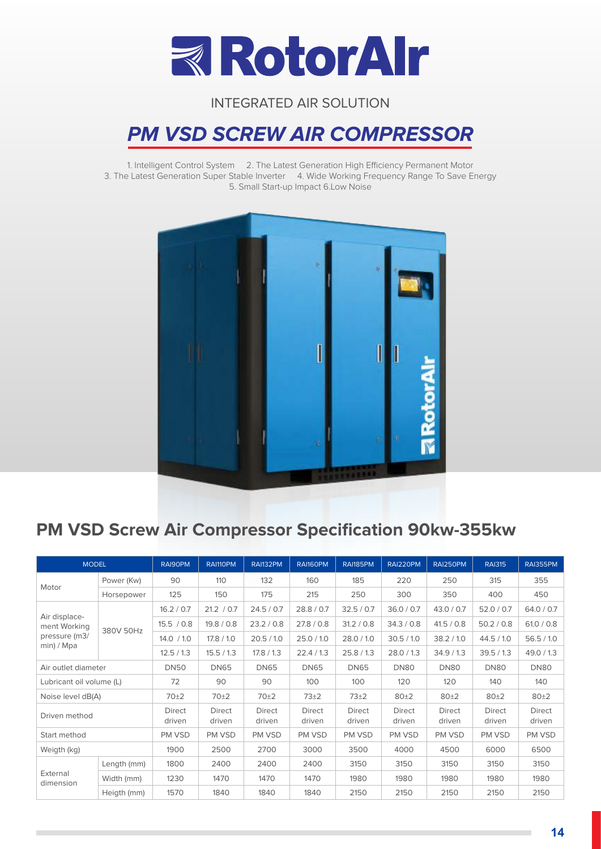

## **PM VSD SCREW AIR COMPRESSOR**

1. Intelligent Control System 2. The Latest Generation High Efficiency Permanent Motor 3. The Latest Generation Super Stable Inverter 4. Wide Working Frequency Range To Save Energy 5. Small Start-up Impact 6.Low Noise



## **PM VSD Screw Air Compressor Specification 90kw-355kw**

|                               | <b>MODEL</b> |                  | RAI110PM         | RAI132PM                | RAI160PM         | <b>RAI185PM</b>         | RAI220PM         | RAI250PM                | <b>RAI315</b>           | <b>RAI355PM</b>  |
|-------------------------------|--------------|------------------|------------------|-------------------------|------------------|-------------------------|------------------|-------------------------|-------------------------|------------------|
| Motor                         | Power (Kw)   | 90               | 110              | 132                     | 160              | 185                     | 220              | 250                     | 315                     | 355              |
|                               | Horsepower   | 125              | 150              | 175                     | 215              | 250                     | 300              | 350                     | 400                     | 450              |
|                               |              | 16.2 / 0.7       | 21.2 / 0.7       | 24.5 / 0.7              | 28.8 / 0.7       | 32.5 / 0.7              | 36.0 / 0.7       | 43.0 / 0.7              | 52.0 / 0.7              | 64.0 / 0.7       |
| Air displace-<br>ment Working | 380V 50Hz    | 15.5 / 0.8       | 19.8 / 0.8       | 23.2 / 0.8              | 27.8 / 0.8       | 31.2 / 0.8              | 34.3 / 0.8       | 41.5 / 0.8              | 50.2 / 0.8              | 61.0 / 0.8       |
| pressure (m3/                 |              | 14.0 / 1.0       | 17.8 / 1.0       | 20.5 / 1.0              | 25.0 / 1.0       | 28.0 / 1.0              | 30.5 / 1.0       | 38.2 / 1.0              | 44.5 / 1.0              | 56.5/10          |
| min) / Mpa                    |              | 12.5/13          | 15.5/1.3         | 17.8 / 1.3              | 22.4/1.3         | 25.8/1.3                | 28.0 / 1.3       | 34.9/1.3                | 39.5/1.3                | 49.0 / 1.3       |
| Air outlet diameter           |              | <b>DN50</b>      | <b>DN65</b>      | <b>DN65</b>             | <b>DN65</b>      | <b>DN65</b>             | <b>DN80</b>      | <b>DN80</b>             | <b>DN80</b>             | <b>DN80</b>      |
| Lubricant oil volume (L)      |              | 72               | 90               | 90                      | 100              | 100                     | 120              | 120                     | 140                     | 140              |
| Noise level dB(A)             |              | 70 <sup>±2</sup> | 70±2             | 70±2                    | $73\pm2$         | $73\pm2$                | 80±2<br>80±2     |                         | 80±2                    | 80±2             |
| Driven method                 |              | Direct<br>driven | Direct<br>driven | <b>Direct</b><br>driven | Direct<br>driven | <b>Direct</b><br>driven | Direct<br>driven | <b>Direct</b><br>driven | <b>Direct</b><br>driven | Direct<br>driven |
| Start method                  |              | PM VSD           | PM VSD           | PM VSD                  | PM VSD           | PM VSD                  | PM VSD           | PM VSD                  | PM VSD                  | PM VSD           |
| Weigth (kg)                   |              | 1900             | 2500             | 2700                    | 3000             | 3500                    | 4000             | 4500                    | 6000                    | 6500             |
| External<br>dimension         | Length (mm)  | 1800             | 2400             | 2400                    | 2400             | 3150                    | 3150             | 3150                    | 3150                    | 3150             |
|                               | Width (mm)   | 1230             | 1470             | 1470                    | 1470             | 1980                    | 1980             | 1980                    | 1980                    | 1980             |
|                               | Heigth (mm)  | 1570             | 1840             | 1840                    | 1840             | 2150                    | 2150             | 2150                    | 2150                    | 2150             |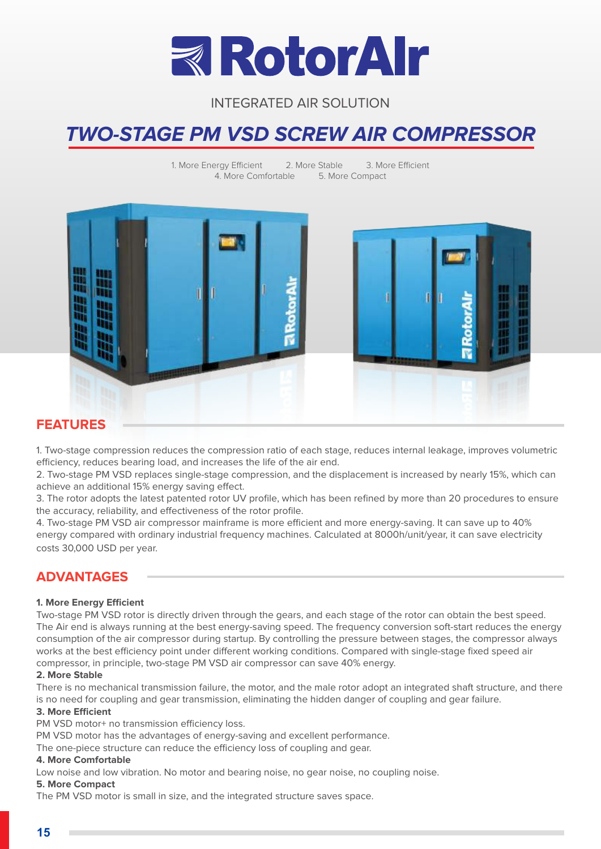

## **TWO-STAGE PM VSD SCREW AIR COMPRESSOR**

1. More Energy Efficient 2. More Stable 3. More Efficient 4. More Comfortable 5. More Compact



#### **FEATURES**

1. Two-stage compression reduces the compression ratio of each stage, reduces internal leakage, improves volumetric efficiency, reduces bearing load, and increases the life of the air end.

2. Two-stage PM VSD replaces single-stage compression, and the displacement is increased by nearly 15%, which can achieve an additional 15% energy saving effect.

3. The rotor adopts the latest patented rotor UV profile, which has been refined by more than 20 procedures to ensure the accuracy, reliability, and effectiveness of the rotor profile.

4. Two-stage PM VSD air compressor mainframe is more efficient and more energy-saving. It can save up to 40% energy compared with ordinary industrial frequency machines. Calculated at 8000h/unit/year, it can save electricity costs 30,000 USD per year.

#### **ADVANTAGES**

#### **1. More Energy Efficient**

Two-stage PM VSD rotor is directly driven through the gears, and each stage of the rotor can obtain the best speed. The Air end is always running at the best energy-saving speed. The frequency conversion soft-start reduces the energy consumption of the air compressor during startup. By controlling the pressure between stages, the compressor always works at the best efficiency point under different working conditions. Compared with single-stage fixed speed air compressor, in principle, two-stage PM VSD air compressor can save 40% energy.

#### **2. More Stable**

There is no mechanical transmission failure, the motor, and the male rotor adopt an integrated shaft structure, and there is no need for coupling and gear transmission, eliminating the hidden danger of coupling and gear failure.

#### **3. More Efficient**

PM VSD motor+ no transmission efficiency loss.

PM VSD motor has the advantages of energy-saving and excellent performance.

The one-piece structure can reduce the efficiency loss of coupling and gear.

#### **4. More Comfortable**

Low noise and low vibration. No motor and bearing noise, no gear noise, no coupling noise.

#### **5. More Compact**

The PM VSD motor is small in size, and the integrated structure saves space.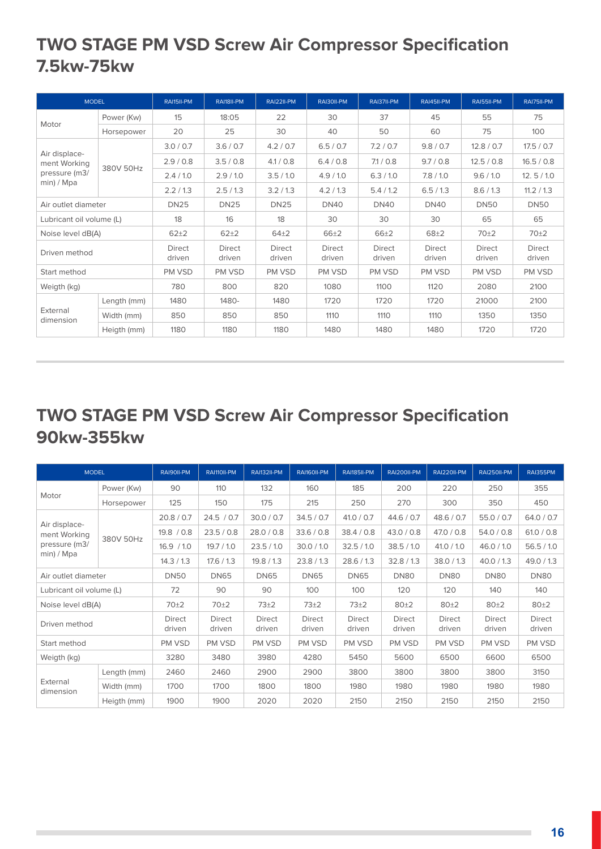## **TWO STAGE PM VSD Screw Air Compressor Specification 7.5kw-75kw**

| <b>MODEL</b>                  |             | RAI15II-PM       | RAI18II-PM              | RAI22II-PM              | RAI30II-PM       | RAI37II-PM              | RAI45II-PM              | RAI55II-PM       | RAI75II-PM              |
|-------------------------------|-------------|------------------|-------------------------|-------------------------|------------------|-------------------------|-------------------------|------------------|-------------------------|
|                               | Power (Kw)  | 15               | 18:05                   | 22                      | 30               | 37                      | 45                      | 55               | 75                      |
| Motor                         | Horsepower  | 20               | 25                      | 30                      | 40               | 50                      | 60                      | 75               | 100                     |
|                               |             | 3.0 / 0.7        | 3.6 / 0.7               | 4.2 / 0.7               | 6.5 / 0.7        | 7.2 / 0.7               | 9.8 / 0.7               | 12.8 / 0.7       | 17.5 / 0.7              |
| Air displace-<br>ment Working |             | 2.9/0.8          | 3.5/0.8                 | 4.1 / 0.8               | 6.4 / 0.8        | 7.1 / 0.8               | 9.7 / 0.8               | 12.5 / 0.8       | 16.5 / 0.8              |
| pressure (m3/                 | 380V 50Hz   | 2.4 / 1.0        | 2.9/10                  | 3.5/1.0                 | 4.9/10           | 6.3 / 1.0               | 7.8/1.0                 | 9.6 / 1.0        | 12.5/10                 |
| min) / Mpa                    |             | 2.2 / 1.3        | 2.5/1.3                 | 3.2 / 1.3               | 4.2 / 1.3        | 5.4/1.2                 | 6.5/1.3                 | 8.6 / 1.3        | 11.2 / 1.3              |
| Air outlet diameter           |             | <b>DN25</b>      | <b>DN25</b>             | <b>DN25</b>             | <b>DN40</b>      | <b>DN40</b>             | <b>DN40</b>             | <b>DN50</b>      | <b>DN50</b>             |
| Lubricant oil volume (L)      |             | 18               | 16                      | 18                      | 30               | 30                      | 30                      | 65               | 65                      |
| Noise level dB(A)             |             | $62 + 2$         | $62+2$                  | $64\pm2$                | $66 + 2$         | $66 + 2$                | $68 + 2$                | 70±2             | 70±2                    |
| Driven method                 |             | Direct<br>driven | <b>Direct</b><br>driven | <b>Direct</b><br>driven | Direct<br>driven | <b>Direct</b><br>driven | <b>Direct</b><br>driven | Direct<br>driven | <b>Direct</b><br>driven |
| Start method                  |             | PM VSD           | PM VSD                  | PM VSD                  | PM VSD           | PM VSD                  | PM VSD                  | PM VSD           | PM VSD                  |
| Weigth (kg)                   |             | 780              | 800                     | 820                     | 1080             | 1100                    | 1120                    | 2080             | 2100                    |
|                               | Length (mm) | 1480             | 1480-                   | 1480                    | 1720             | 1720                    | 1720                    | 21000            | 2100                    |
| External<br>dimension         | Width (mm)  | 850              | 850                     | 850                     | 1110             | 1110                    | 1110                    | 1350             | 1350                    |
|                               | Heigth (mm) | 1180             | 1180                    | 1180                    | 1480             | 1480                    | 1480                    | 1720             | 1720                    |

## **TWO STAGE PM VSD Screw Air Compressor Specification 90kw-355kw**

| <b>MODEL</b>                  |             | RAI90II-PM              | RAI110II-PM      | <b>RAI132II-PM</b> | RAI160II-PM      | RAI185II-PM      | RAI200II-PM      | <b>RAI220II-PM</b>      | RAI250II-PM      | <b>RAI355PM</b>  |
|-------------------------------|-------------|-------------------------|------------------|--------------------|------------------|------------------|------------------|-------------------------|------------------|------------------|
|                               | Power (Kw)  | 90                      | 110              | 132                | 160              | 185              | 200              |                         | 250              | 355              |
| Motor                         | Horsepower  | 125                     | 150              | 175                | 215              | 250              | 270              | 300                     | 350              | 450              |
|                               |             | 20.8 / 0.7              | 24.5 / 0.7       | 30.0 / 0.7         | 34.5 / 0.7       | 41.0 / 0.7       | 44.6 / 0.7       | 48.6 / 0.7              | 55.0 / 0.7       | 64.0 / 0.7       |
| Air displace-<br>ment Working | 380V 50Hz   | 19.8 / 0.8              | 23.5/0.8         | 28.0 / 0.8         | 33.6 / 0.8       | 38.4 / 0.8       | 43.0 / 0.8       | 47.0 / 0.8              | 54.0 / 0.8       | 61.0 / 0.8       |
| pressure (m3/                 |             | 16.9 / 1.0              | 19.7 / 1.0       | 23.5/10            | 30.0 / 1.0       | 32.5/10          | 38.5 / 1.0       | 41.0 / 1.0              | 46.0 / 1.0       | 56.5/10          |
| min) / Mpa                    |             | 14.3 / 1.3              | 17.6 / 1.3       | 19.8 / 1.3         | 23.8/1.3         | 28.6 / 1.3       | 32.8/1.3         | 38.0 / 1.3              | 40.0 / 1.3       | 49.0 / 1.3       |
| Air outlet diameter           |             | <b>DN50</b>             | <b>DN65</b>      | <b>DN65</b>        | <b>DN65</b>      | <b>DN65</b>      | <b>DN80</b>      | <b>DN80</b>             | <b>DN80</b>      | <b>DN80</b>      |
| Lubricant oil volume (L)      |             | 72                      | 90               | 90                 | 100              | 100              | 120              | 120                     | 140              | 140              |
| Noise level dB(A)             |             | 70±2                    | 70±2             | $73\pm2$           | $73\pm2$         | 73±2             | 80±2             | 80±2                    | 80±2             | 80±2             |
| Driven method                 |             | <b>Direct</b><br>driven | Direct<br>driven | Direct<br>driven   | Direct<br>driven | Direct<br>driven | Direct<br>driven | <b>Direct</b><br>driven | Direct<br>driven | Direct<br>driven |
| Start method                  |             | PM VSD                  | PM VSD           | PM VSD             | PM VSD           | PM VSD           | PM VSD           | PM VSD                  | PM VSD           | PM VSD           |
| Weigth (kg)                   |             | 3280                    | 3480             | 3980               | 4280             | 5450             | 5600             | 6500                    | 6600             | 6500             |
|                               | Length (mm) | 2460                    | 2460             | 2900               | 2900             | 3800             | 3800             | 3800                    | 3800             | 3150             |
| External<br>dimension         | Width (mm)  | 1700                    | 1700             | 1800               | 1800             | 1980             | 1980             | 1980                    | 1980             | 1980             |
|                               | Heigth (mm) | 1900                    | 1900             | 2020               | 2020             | 2150             | 2150             | 2150                    | 2150             | 2150             |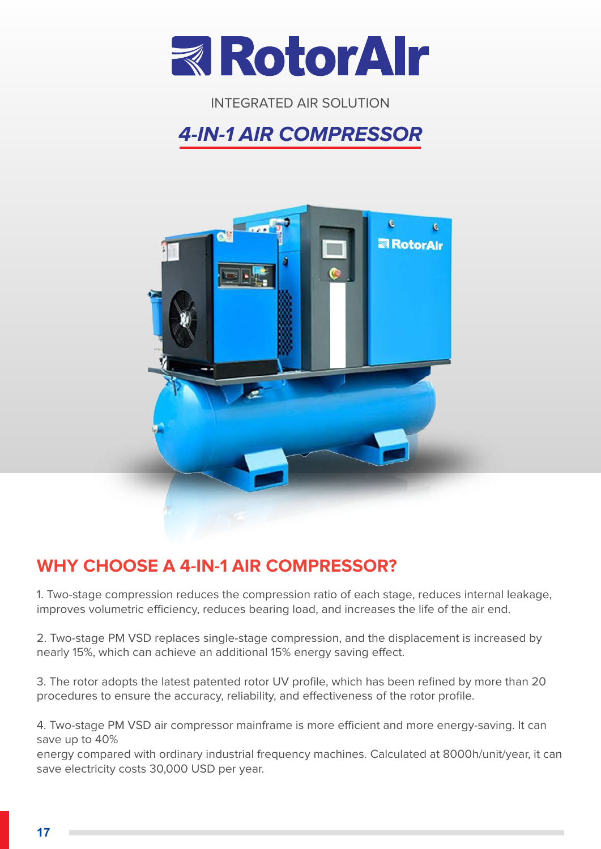

## **4-IN-1 AIR COMPRESSOR**



## **WHY CHOOSE A 4-IN-1 AIR COMPRESSOR?**

1. Two-stage compression reduces the compression ratio of each stage, reduces internal leakage, improves volumetric efficiency, reduces bearing load, and increases the life of the air end.

2. Two-stage PM VSD replaces single-stage compression, and the displacement is increased by nearly 15%, which can achieve an additional 15% energy saving effect.

3. The rotor adopts the latest patented rotor UV profile, which has been refined by more than 20 procedures to ensure the accuracy, reliability, and effectiveness of the rotor profile.

4. Two-stage PM VSD air compressor mainframe is more efficient and more energy-saving. It can save up to 40%

energy compared with ordinary industrial frequency machines. Calculated at 8000h/unit/year, it can save electricity costs 30,000 USD per year.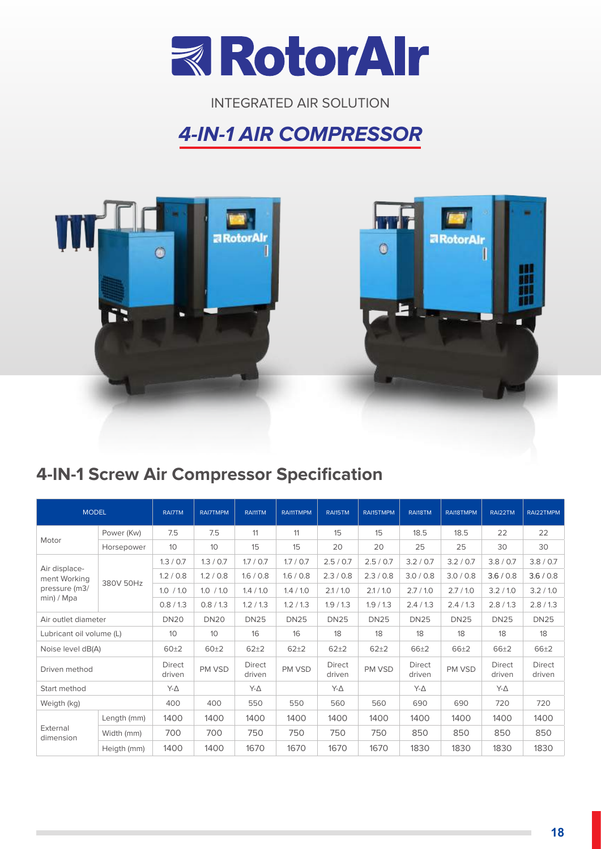

## **4-IN-1 AIR COMPRESSOR**



## **4-IN-1 Screw Air Compressor Specification**

| <b>MODEL</b>             |             | <b>RAI7TM</b>           | <b>RAI7TMPM</b> | RAI11TM          | RAI11TMPM   | RAI15TM          | RAI15TMPM   | RAI18TM                 | RAI18TMPM   | RAI22TM                 | RAI22TMPM               |
|--------------------------|-------------|-------------------------|-----------------|------------------|-------------|------------------|-------------|-------------------------|-------------|-------------------------|-------------------------|
| Motor                    | Power (Kw)  | 7.5                     | 7.5             | 11               | 11          | 15               | 15          | 18.5                    | 18.5        | 22                      | 22                      |
|                          | Horsepower  | 10                      | 10 <sup>°</sup> | 15               | 15          | 20               | 20          | 25                      | 25          | 30                      | 30                      |
| Air displace-            |             | 1.3 / 0.7               | 1.3 / 0.7       | 1.7 / 0.7        | 1.7 / 0.7   | 2.5 / 0.7        | 2.5 / 0.7   | 3.2 / 0.7               | 3.2 / 0.7   | 3.8 / 0.7               | 3.8 / 0.7               |
| ment Working             | 380V 50Hz   | 1.2 / 0.8               | 1.2 / 0.8       | 1.6 / 0.8        | 1.6 / 0.8   | 2.3 / 0.8        | 2.3 / 0.8   | 3.0 / 0.8               | 3.0 / 0.8   | 3.6 / 0.8               | 3.6 / 0.8               |
| pressure (m3/            |             | 1.0 / 1.0               | 1.0 / 1.0       | 1.4 / 1.0        | 1.4 / 1.0   | 2.1 / 1.0        | 2.1 / 1.0   | 2.7/1.0                 | 2.7/1.0     | 3.2 / 1.0               | 3.2 / 1.0               |
| min) / Mpa               |             | 0.8/1.3                 | 0.8 / 1.3       | 1.2 / 1.3        | 1.2 / 1.3   | 1.9/1.3          | 1.9/1.3     | 2.4/1.3                 | 2.4/1.3     | 2.8/1.3                 | 2.8 / 1.3               |
| Air outlet diameter      |             | <b>DN20</b>             | <b>DN20</b>     | <b>DN25</b>      | <b>DN25</b> | <b>DN25</b>      | <b>DN25</b> | <b>DN25</b>             | <b>DN25</b> | <b>DN25</b>             | <b>DN25</b>             |
| Lubricant oil volume (L) |             | 10                      | 10 <sup>°</sup> | 16               | 16          | 18               | 18          | 18                      | 18          | 18                      | 18                      |
| Noise level dB(A)        |             | 60±2                    | 60±2            | $62 + 2$         | $62 + 2$    | $62 + 2$         | $62 + 2$    | $66 + 2$                | $66 + 2$    | $66 + 2$                | $66 + 2$                |
| Driven method            |             | <b>Direct</b><br>driven | PM VSD          | Direct<br>driven | PM VSD      | Direct<br>driven | PM VSD      | <b>Direct</b><br>driven | PM VSD      | <b>Direct</b><br>driven | <b>Direct</b><br>driven |
| Start method             |             | $Y-\Delta$              |                 | $Y-\Delta$       |             | $Y-\Delta$       |             | $Y-\Delta$              |             | $Y-\Delta$              |                         |
| Weigth (kg)              |             | 400                     | 400             | 550              | 550         | 560              | 560         | 690                     | 690         | 720                     | 720                     |
|                          | Length (mm) | 1400                    | 1400            | 1400             | 1400        | 1400             | 1400        | 1400                    | 1400        | 1400                    | 1400                    |
| External<br>dimension    | Width (mm)  | 700                     | 700             | 750              | 750         | 750              | 750         | 850                     | 850         | 850                     | 850                     |
|                          | Heigth (mm) | 1400                    | 1400            | 1670             | 1670        | 1670             | 1670        | 1830                    | 1830        | 1830                    | 1830                    |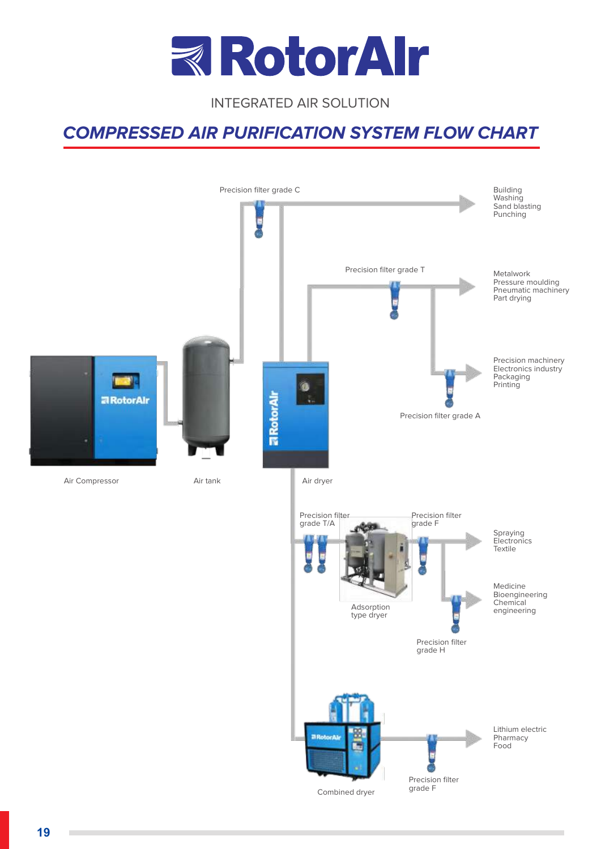

#### **COMPRESSED AIR PURIFICATION SYSTEM FLOW CHART**